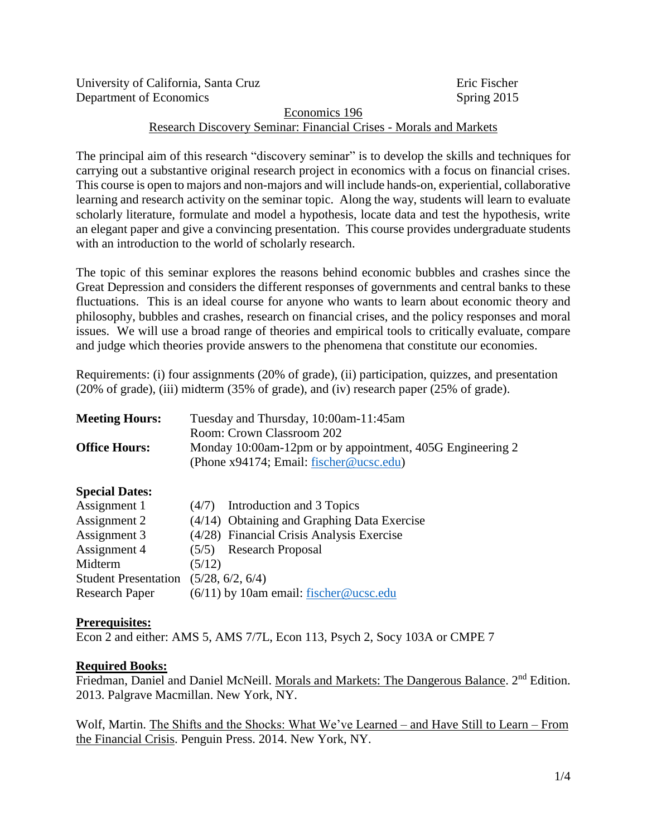| University of California, Santa Cruz                              | Eric Fischer |
|-------------------------------------------------------------------|--------------|
| Department of Economics                                           | Spring 2015  |
| Economics 196                                                     |              |
| Research Discovery Seminar: Financial Crises - Morals and Markets |              |

The principal aim of this research "discovery seminar" is to develop the skills and techniques for carrying out a substantive original research project in economics with a focus on financial crises. This course is open to majors and non-majors and will include hands-on, experiential, collaborative learning and research activity on the seminar topic. Along the way, students will learn to evaluate scholarly literature, formulate and model a hypothesis, locate data and test the hypothesis, write an elegant paper and give a convincing presentation. This course provides undergraduate students with an introduction to the world of scholarly research.

The topic of this seminar explores the reasons behind economic bubbles and crashes since the Great Depression and considers the different responses of governments and central banks to these fluctuations. This is an ideal course for anyone who wants to learn about economic theory and philosophy, bubbles and crashes, research on financial crises, and the policy responses and moral issues. We will use a broad range of theories and empirical tools to critically evaluate, compare and judge which theories provide answers to the phenomena that constitute our economies.

Requirements: (i) four assignments (20% of grade), (ii) participation, quizzes, and presentation (20% of grade), (iii) midterm (35% of grade), and (iv) research paper (25% of grade).

| <b>Meeting Hours:</b> | Tuesday and Thursday, 10:00am-11:45am                                                                   |
|-----------------------|---------------------------------------------------------------------------------------------------------|
|                       | Room: Crown Classroom 202                                                                               |
| <b>Office Hours:</b>  | Monday 10:00am-12pm or by appointment, 405G Engineering 2<br>(Phone $x94174$ ; Email: fischer@ucsc.edu) |
|                       |                                                                                                         |

### **Special Dates:**

| Assignment 1                |        | $(4/7)$ Introduction and 3 Topics           |
|-----------------------------|--------|---------------------------------------------|
| Assignment 2                |        | (4/14) Obtaining and Graphing Data Exercise |
| Assignment 3                |        | (4/28) Financial Crisis Analysis Exercise   |
| Assignment 4                |        | $(5/5)$ Research Proposal                   |
| Midterm                     | (5/12) |                                             |
| <b>Student Presentation</b> |        | (5/28, 6/2, 6/4)                            |
| <b>Research Paper</b>       |        | $(6/11)$ by 10am email: fischer@ucsc.edu    |

### **Prerequisites:**

Econ 2 and either: AMS 5, AMS 7/7L, Econ 113, Psych 2, Socy 103A or CMPE 7

### **Required Books:**

Friedman, Daniel and Daniel McNeill. Morals and Markets: The Dangerous Balance. 2<sup>nd</sup> Edition. 2013. Palgrave Macmillan. New York, NY.

Wolf, Martin. The Shifts and the Shocks: What We've Learned – and Have Still to Learn – From the Financial Crisis. Penguin Press. 2014. New York, NY.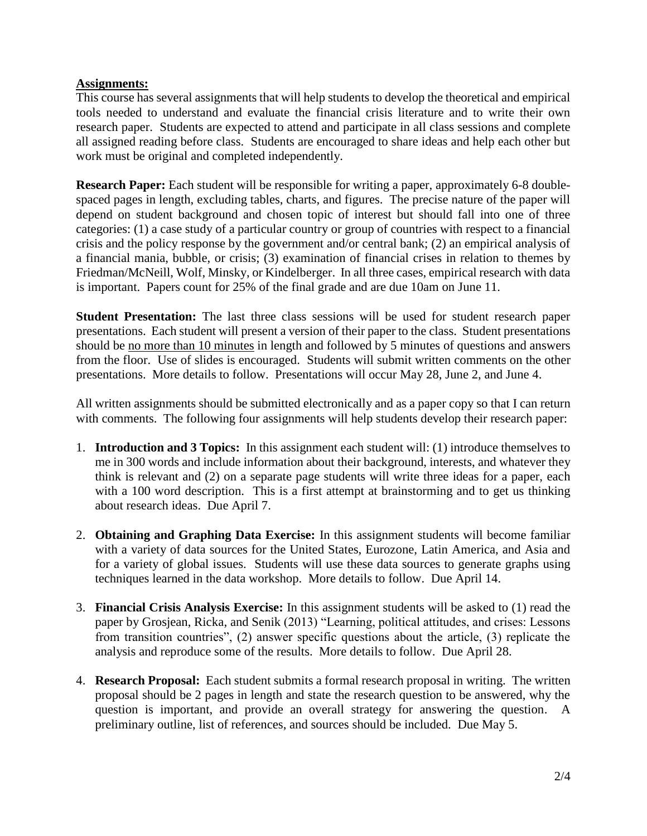## **Assignments:**

This course has several assignments that will help students to develop the theoretical and empirical tools needed to understand and evaluate the financial crisis literature and to write their own research paper. Students are expected to attend and participate in all class sessions and complete all assigned reading before class. Students are encouraged to share ideas and help each other but work must be original and completed independently.

**Research Paper:** Each student will be responsible for writing a paper, approximately 6-8 doublespaced pages in length, excluding tables, charts, and figures. The precise nature of the paper will depend on student background and chosen topic of interest but should fall into one of three categories: (1) a case study of a particular country or group of countries with respect to a financial crisis and the policy response by the government and/or central bank; (2) an empirical analysis of a financial mania, bubble, or crisis; (3) examination of financial crises in relation to themes by Friedman/McNeill, Wolf, Minsky, or Kindelberger. In all three cases, empirical research with data is important. Papers count for 25% of the final grade and are due 10am on June 11.

**Student Presentation:** The last three class sessions will be used for student research paper presentations. Each student will present a version of their paper to the class. Student presentations should be no more than 10 minutes in length and followed by 5 minutes of questions and answers from the floor. Use of slides is encouraged. Students will submit written comments on the other presentations. More details to follow. Presentations will occur May 28, June 2, and June 4.

All written assignments should be submitted electronically and as a paper copy so that I can return with comments. The following four assignments will help students develop their research paper:

- 1. **Introduction and 3 Topics:** In this assignment each student will: (1) introduce themselves to me in 300 words and include information about their background, interests, and whatever they think is relevant and (2) on a separate page students will write three ideas for a paper, each with a 100 word description. This is a first attempt at brainstorming and to get us thinking about research ideas. Due April 7.
- 2. **Obtaining and Graphing Data Exercise:** In this assignment students will become familiar with a variety of data sources for the United States, Eurozone, Latin America, and Asia and for a variety of global issues. Students will use these data sources to generate graphs using techniques learned in the data workshop. More details to follow. Due April 14.
- 3. **Financial Crisis Analysis Exercise:** In this assignment students will be asked to (1) read the paper by Grosjean, Ricka, and Senik (2013) "Learning, political attitudes, and crises: Lessons from transition countries", (2) answer specific questions about the article, (3) replicate the analysis and reproduce some of the results. More details to follow. Due April 28.
- 4. **Research Proposal:** Each student submits a formal research proposal in writing. The written proposal should be 2 pages in length and state the research question to be answered, why the question is important, and provide an overall strategy for answering the question. A preliminary outline, list of references, and sources should be included. Due May 5.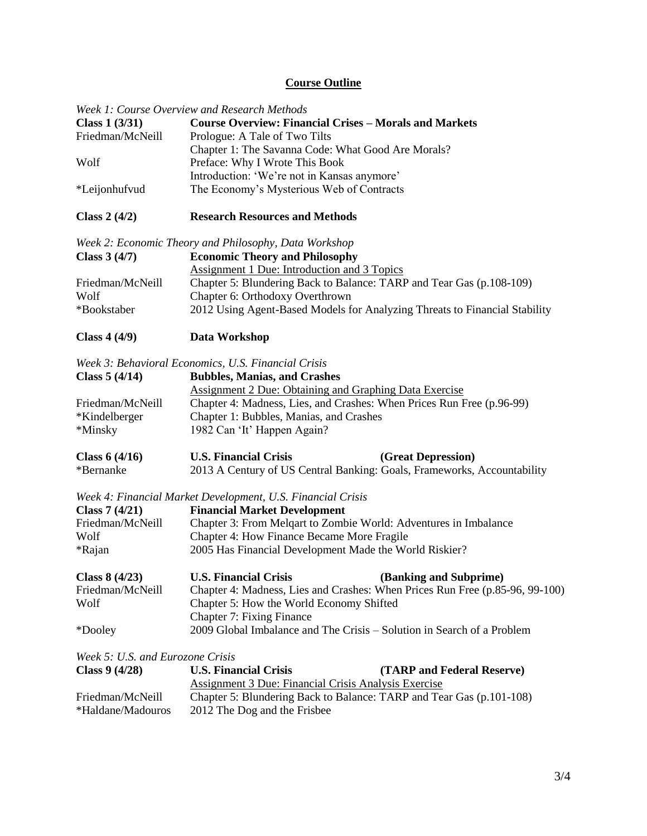# **Course Outline**

|                                  | Week 1: Course Overview and Research Methods                                                                  |  |  |
|----------------------------------|---------------------------------------------------------------------------------------------------------------|--|--|
| Class $1(3/31)$                  | <b>Course Overview: Financial Crises - Morals and Markets</b>                                                 |  |  |
| Friedman/McNeill                 | Prologue: A Tale of Two Tilts                                                                                 |  |  |
| Wolf                             | Chapter 1: The Savanna Code: What Good Are Morals?                                                            |  |  |
|                                  | Preface: Why I Wrote This Book<br>Introduction: 'We're not in Kansas anymore'                                 |  |  |
| *Leijonhufvud                    | The Economy's Mysterious Web of Contracts                                                                     |  |  |
| Class $2(4/2)$                   | <b>Research Resources and Methods</b>                                                                         |  |  |
|                                  | Week 2: Economic Theory and Philosophy, Data Workshop                                                         |  |  |
| Class $3(4/7)$                   | <b>Economic Theory and Philosophy</b>                                                                         |  |  |
|                                  | <b>Assignment 1 Due: Introduction and 3 Topics</b>                                                            |  |  |
| Friedman/McNeill                 | Chapter 5: Blundering Back to Balance: TARP and Tear Gas (p.108-109)                                          |  |  |
| Wolf<br>*Bookstaber              | Chapter 6: Orthodoxy Overthrown<br>2012 Using Agent-Based Models for Analyzing Threats to Financial Stability |  |  |
|                                  |                                                                                                               |  |  |
| Class $4(4/9)$                   | Data Workshop                                                                                                 |  |  |
|                                  | Week 3: Behavioral Economics, U.S. Financial Crisis                                                           |  |  |
| Class $5(4/14)$                  | <b>Bubbles, Manias, and Crashes</b>                                                                           |  |  |
|                                  | <b>Assignment 2 Due: Obtaining and Graphing Data Exercise</b>                                                 |  |  |
| Friedman/McNeill                 | Chapter 4: Madness, Lies, and Crashes: When Prices Run Free (p.96-99)                                         |  |  |
| *Kindelberger                    | Chapter 1: Bubbles, Manias, and Crashes                                                                       |  |  |
| *Minsky                          | 1982 Can 'It' Happen Again?                                                                                   |  |  |
| Class $6(4/16)$                  | (Great Depression)<br><b>U.S. Financial Crisis</b>                                                            |  |  |
| *Bernanke                        | 2013 A Century of US Central Banking: Goals, Frameworks, Accountability                                       |  |  |
|                                  | Week 4: Financial Market Development, U.S. Financial Crisis                                                   |  |  |
| Class $7(4/21)$                  | <b>Financial Market Development</b>                                                                           |  |  |
| Friedman/McNeill                 | Chapter 3: From Melqart to Zombie World: Adventures in Imbalance                                              |  |  |
| Wolf                             | Chapter 4: How Finance Became More Fragile                                                                    |  |  |
| *Rajan                           | 2005 Has Financial Development Made the World Riskier?                                                        |  |  |
| Class $8(4/23)$                  | <b>U.S. Financial Crisis</b><br>(Banking and Subprime)                                                        |  |  |
| Friedman/McNeill                 | Chapter 4: Madness, Lies and Crashes: When Prices Run Free (p.85-96, 99-100)                                  |  |  |
| Wolf                             | Chapter 5: How the World Economy Shifted                                                                      |  |  |
|                                  | <b>Chapter 7: Fixing Finance</b>                                                                              |  |  |
| *Dooley                          | 2009 Global Imbalance and The Crisis – Solution in Search of a Problem                                        |  |  |
| Week 5: U.S. and Eurozone Crisis |                                                                                                               |  |  |
| Class $9(4/28)$                  | <b>U.S. Financial Crisis</b><br>(TARP and Federal Reserve)                                                    |  |  |
|                                  | <b>Assignment 3 Due: Financial Crisis Analysis Exercise</b>                                                   |  |  |
| Friedman/McNeill                 | Chapter 5: Blundering Back to Balance: TARP and Tear Gas (p.101-108)                                          |  |  |
| *Haldane/Madouros                | 2012 The Dog and the Frisbee                                                                                  |  |  |
|                                  |                                                                                                               |  |  |